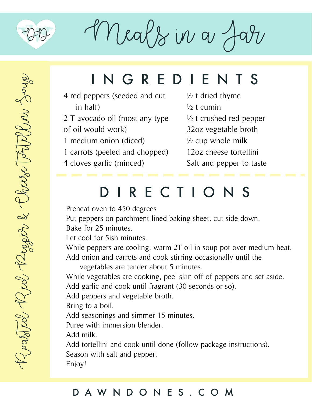

 $M$ eals in a  $A$ 

## INGREDIENTS

- 4 red peppers (seeded and cut in half)
- 2 T avocado oil (most any type of oil would work)
- 1 medium onion (diced)
- 1 carrots (peeled and chopped)
- 4 cloves garlic (minced)
- $\frac{1}{2}$  t dried thyme  $\frac{1}{2}$  t cumin ½ t crushed red pepper 32oz vegetable broth  $\frac{1}{2}$  cup whole milk
- 12oz cheese tortellini
- Salt and pepper to taste

### DIRECTIONS

Preheat oven to 450 degrees

Put peppers on parchment lined baking sheet, cut side down.

Bake for 25 minutes.

Let cool for 5ish minutes.

While peppers are cooling, warm 2T oil in soup pot over medium heat. Add onion and carrots and cook stirring occasionally until the

vegetables are tender about 5 minutes.

While vegetables are cooking, peel skin off of peppers and set aside. Add garlic and cook until fragrant (30 seconds or so).

Add peppers and vegetable broth.

Bring to a boil.

Add seasonings and simmer 15 minutes.

Puree with immersion blender.

Add milk.

Add tortellini and cook until done (follow package instructions). Season with salt and pepper.

Enjoy!

#### DAWNDONES.COM